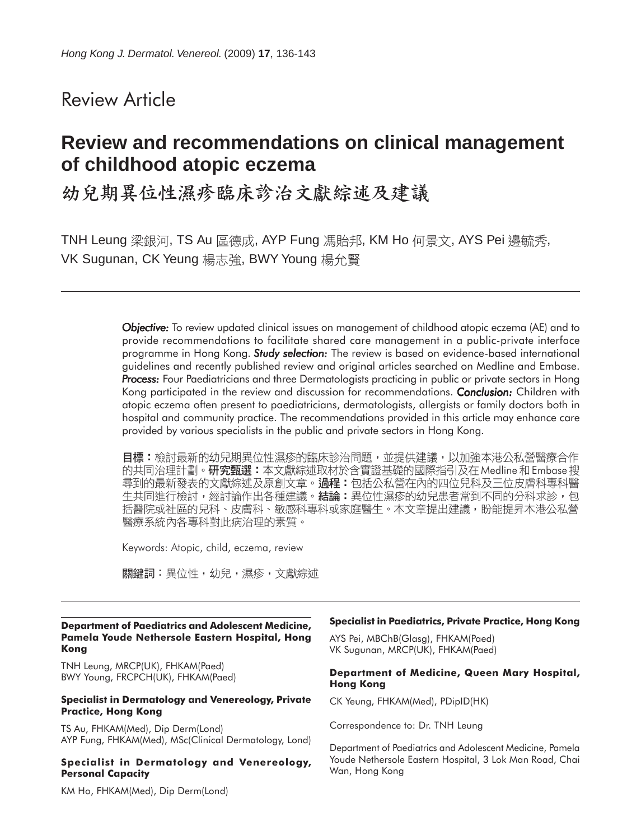# Review Article

# **Review and recommendations on clinical management of childhood atopic eczema**

# 幼兒期異位性濕疹臨床診治文獻綜述及建議

TNH Leung 梁銀河, TS Au 區德成, AYP Fung 馮貽邦, KM Ho 何景文, AYS Pei 邊毓秀, VK Sugunan, CK Yeung 楊志強, BWY Young 楊允賢

> *Objective: Objective:* To review updated clinical issues on management of childhood atopic eczema (AE) and to provide recommendations to facilitate shared care management in a public-private interface programme in Hong Kong. **Study selection:** The review is based on evidence-based international guidelines and recently published review and original articles searched on Medline and Embase. **Process:** Four Paediatricians and three Dermatologists practicing in public or private sectors in Hong Kong participated in the review and discussion for recommendations. *Conclusion: Conclusion:* Children with atopic eczema often present to paediatricians, dermatologists, allergists or family doctors both in hospital and community practice. The recommendations provided in this article may enhance care provided by various specialists in the public and private sectors in Hong Kong.

> 目標:檢討最新的幼兒期異位性濕疹的臨床診治問題,並提供建議,以加強本港公私營醫療合作 的共同治理計劃。**研究甄選:**本文獻綜述取材於含實證基礎的國際指引及在 Medline 和 Embase 搜 尋到的最新發表的文獻綜述及原創文章。**過程:**包括公私營在內的四位兒科及三位皮膚科專科醫 生共同進行檢討,經討論作出各種建議**。結論:**異位性濕疹的幼兒患者常到不同的分科求診,包 括醫院或社區的兒科、皮膚科、敏感科專科或家庭醫生。本文章提出建議,盼能提昇本港公私營 醫療系統內各專科對此病治理的素質。

Keywords: Atopic, child, eczema, review

關鍵詞:異位性,幼兒,濕疹,文獻綜述

#### **Department of Paediatrics and Adolescent Medicine, Pamela Youde Nethersole Eastern Hospital, Hong Kong**

TNH Leung, MRCP(UK), FHKAM(Paed) BWY Young, FRCPCH(UK), FHKAM(Paed)

#### **Specialist in Dermatology and Venereology, Private Practice, Hong Kong**

TS Au, FHKAM(Med), Dip Derm(Lond) AYP Fung, FHKAM(Med), MSc(Clinical Dermatology, Lond)

#### **Specialist in Dermatology and Venereology, Personal Capacity**

#### **Specialist in Paediatrics, Private Practice, Hong Kong**

AYS Pei, MBChB(Glasg), FHKAM(Paed) VK Sugunan, MRCP(UK), FHKAM(Paed)

#### **Department of Medicine, Queen Mary Hospital, Hong Kong**

CK Yeung, FHKAM(Med), PDipID(HK)

Correspondence to: Dr. TNH Leung

Department of Paediatrics and Adolescent Medicine, Pamela Youde Nethersole Eastern Hospital, 3 Lok Man Road, Chai Wan, Hong Kong

KM Ho, FHKAM(Med), Dip Derm(Lond)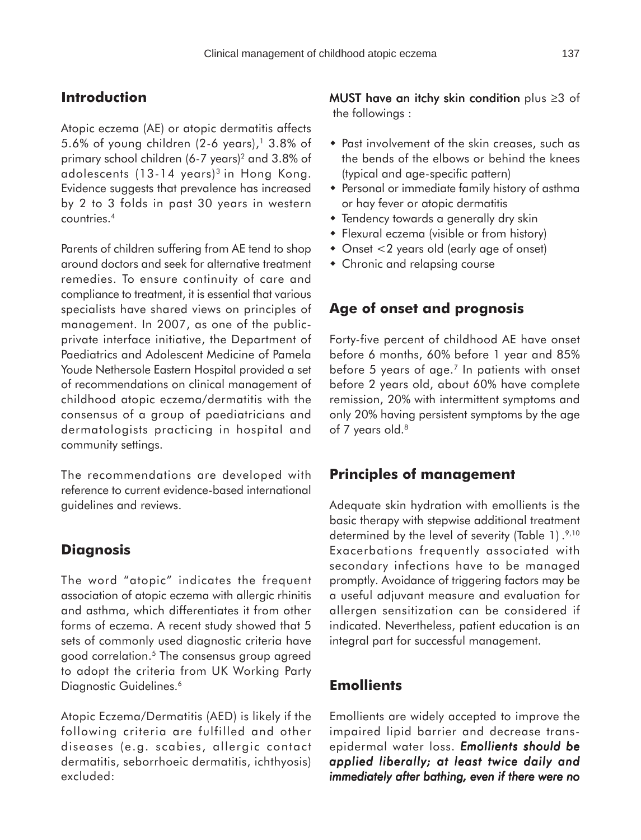### **Introduction**

Atopic eczema (AE) or atopic dermatitis affects 5.6% of young children (2-6 years), $13.8\%$  of primary school children (6-7 years)<sup>2</sup> and 3.8% of adolescents  $(13-14 \text{ years})^3$  in Hong Kong. Evidence suggests that prevalence has increased by 2 to 3 folds in past 30 years in western countries.4

Parents of children suffering from AE tend to shop around doctors and seek for alternative treatment remedies. To ensure continuity of care and compliance to treatment, it is essential that various specialists have shared views on principles of management. In 2007, as one of the publicprivate interface initiative, the Department of Paediatrics and Adolescent Medicine of Pamela Youde Nethersole Eastern Hospital provided a set of recommendations on clinical management of childhood atopic eczema/dermatitis with the consensus of a group of paediatricians and dermatologists practicing in hospital and community settings.

The recommendations are developed with reference to current evidence-based international guidelines and reviews.

### **Diagnosis**

The word "atopic" indicates the frequent association of atopic eczema with allergic rhinitis and asthma, which differentiates it from other forms of eczema. A recent study showed that 5 sets of commonly used diagnostic criteria have good correlation.5 The consensus group agreed to adopt the criteria from UK Working Party Diagnostic Guidelines.<sup>6</sup>

Atopic Eczema/Dermatitis (AED) is likely if the following criteria are fulfilled and other diseases (e.g. scabies, allergic contact dermatitis, seborrhoeic dermatitis, ichthyosis) excluded:

MUST have an itchy skin condition plus  $\geq 3$  of the followings :

- Past involvement of the skin creases, such as the bends of the elbows or behind the knees (typical and age-specific pattern)
- Personal or immediate family history of asthma or hay fever or atopic dermatitis
- Tendency towards a generally dry skin
- Flexural eczema (visible or from history)
- Onset <2 years old (early age of onset)
- Chronic and relapsing course

### **Age of onset and prognosis**

Forty-five percent of childhood AE have onset before 6 months, 60% before 1 year and 85% before 5 years of age.7 In patients with onset before 2 years old, about 60% have complete remission, 20% with intermittent symptoms and only 20% having persistent symptoms by the age of 7 years old.<sup>8</sup>

#### **Principles of management**

Adequate skin hydration with emollients is the basic therapy with stepwise additional treatment determined by the level of severity (Table 1).<sup>9,10</sup> Exacerbations frequently associated with secondary infections have to be managed promptly. Avoidance of triggering factors may be a useful adjuvant measure and evaluation for allergen sensitization can be considered if indicated. Nevertheless, patient education is an integral part for successful management.

#### **Emollients**

Emollients are widely accepted to improve the impaired lipid barrier and decrease transepidermal water loss. *Emollients should be applied liberally; at least twice daily and immediately after bathing, even if there were no*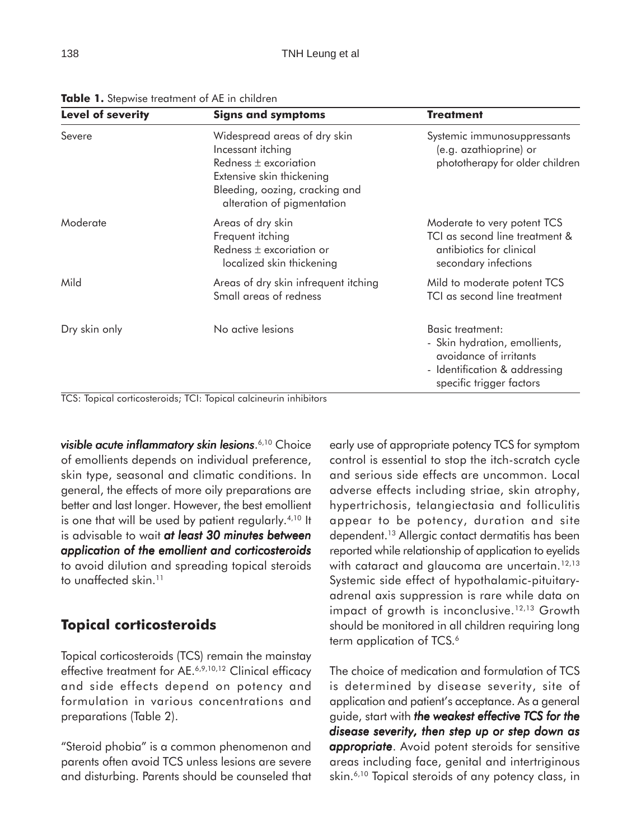| <b>Level of severity</b> | <b>Signs and symptoms</b>                                                                                                                                                   | <b>Treatment</b>                                                                                                                                |
|--------------------------|-----------------------------------------------------------------------------------------------------------------------------------------------------------------------------|-------------------------------------------------------------------------------------------------------------------------------------------------|
| Severe                   | Widespread areas of dry skin<br>Incessant itching<br>Redness $\pm$ excoriation<br>Extensive skin thickening<br>Bleeding, oozing, cracking and<br>alteration of pigmentation | Systemic immunosuppressants<br>(e.g. azathioprine) or<br>phototherapy for older children                                                        |
| Moderate                 | Areas of dry skin<br>Frequent itching<br>Redness $\pm$ excoriation or<br>localized skin thickening                                                                          | Moderate to very potent TCS<br>TCI as second line treatment &<br>antibiotics for clinical<br>secondary infections                               |
| Mild                     | Areas of dry skin infrequent itching<br>Small areas of redness                                                                                                              | Mild to moderate potent TCS<br>TCI as second line treatment                                                                                     |
| Dry skin only            | No active lesions                                                                                                                                                           | <b>Basic treatment:</b><br>- Skin hydration, emollients,<br>avoidance of irritants<br>- Identification & addressing<br>specific trigger factors |

**Table 1.** Stepwise treatment of AE in children

TCS: Topical corticosteroids; TCI: Topical calcineurin inhibitors

*visible acute inflammatory skin lesions*. 6,10 Choice of emollients depends on individual preference, skin type, seasonal and climatic conditions. In general, the effects of more oily preparations are better and last longer. However, the best emollient is one that will be used by patient regularly.4,10 It is advisable to wait *at least 30 minutes between application of the emollient and corticosteroids* to avoid dilution and spreading topical steroids to unaffected skin.<sup>11</sup>

### **Topical corticosteroids**

Topical corticosteroids (TCS) remain the mainstay effective treatment for AE.6,9,10,12 Clinical efficacy and side effects depend on potency and formulation in various concentrations and preparations (Table 2).

"Steroid phobia" is a common phenomenon and parents often avoid TCS unless lesions are severe and disturbing. Parents should be counseled that early use of appropriate potency TCS for symptom control is essential to stop the itch-scratch cycle and serious side effects are uncommon. Local adverse effects including striae, skin atrophy, hypertrichosis, telangiectasia and folliculitis appear to be potency, duration and site dependent.13 Allergic contact dermatitis has been reported while relationship of application to eyelids with cataract and glaucoma are uncertain.<sup>12,13</sup> Systemic side effect of hypothalamic-pituitaryadrenal axis suppression is rare while data on impact of growth is inconclusive.<sup>12,13</sup> Growth should be monitored in all children requiring long term application of TCS.<sup>6</sup>

The choice of medication and formulation of TCS is determined by disease severity, site of application and patient's acceptance. As a general guide, start with *the weakest effective TCS for the disease severity, then step up or step down as appropriate*. Avoid potent steroids for sensitive areas including face, genital and intertriginous skin.<sup>6,10</sup> Topical steroids of any potency class, in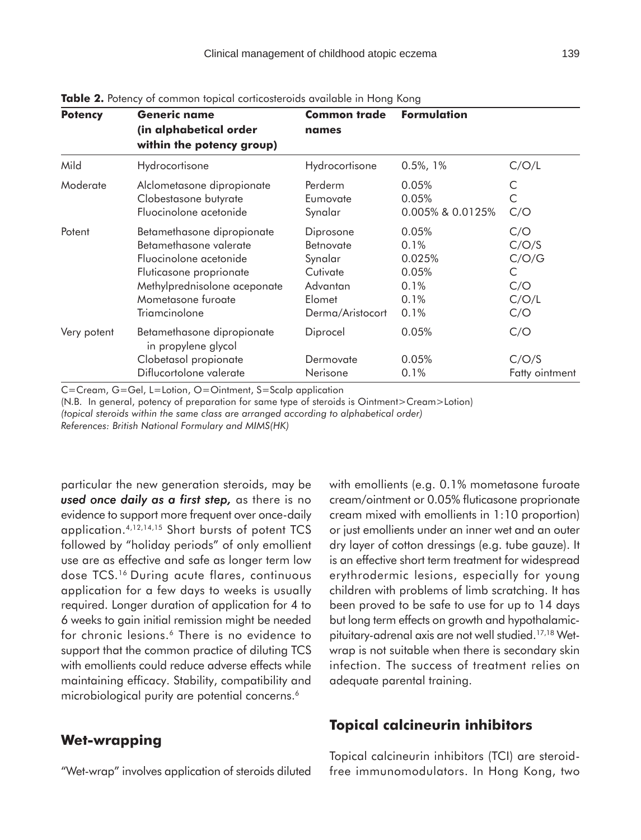| <b>Potency</b> | <b>Generic name</b><br>(in alphabetical order<br>within the potency group)                                                                                                       | <b>Common trade</b><br>names                                                                   | <b>Formulation</b>                                       |                                                   |  |
|----------------|----------------------------------------------------------------------------------------------------------------------------------------------------------------------------------|------------------------------------------------------------------------------------------------|----------------------------------------------------------|---------------------------------------------------|--|
| Mild           | Hydrocortisone                                                                                                                                                                   | Hydrocortisone                                                                                 | $0.5\%$ , 1%                                             | C/O/L                                             |  |
| Moderate       | Alclometasone dipropionate<br>Clobestasone butyrate<br>Fluocinolone acetonide                                                                                                    | Perderm<br>Eumovate<br>Synalar                                                                 | 0.05%<br>0.05%<br>0.005% & 0.0125%                       | С<br>С<br>C/O                                     |  |
| Potent         | Betamethasone dipropionate<br>Betamethasone valerate<br>Fluocinolone acetonide<br>Fluticasone proprionate<br>Methylprednisolone aceponate<br>Mometasone furoate<br>Triamcinolone | Diprosone<br><b>Betnovate</b><br>Synalar<br>Cutivate<br>Advantan<br>Elomet<br>Derma/Aristocort | 0.05%<br>0.1%<br>0.025%<br>0.05%<br>0.1%<br>0.1%<br>0.1% | C/O<br>C/O/S<br>C/O/G<br>С<br>C/O<br>C/O/L<br>C/O |  |
| Very potent    | Betamethasone dipropionate<br>in propylene glycol                                                                                                                                | Diprocel                                                                                       | 0.05%                                                    | C/O                                               |  |
|                | Clobetasol propionate<br>Diflucortolone valerate                                                                                                                                 | Dermovate<br>Nerisone                                                                          | 0.05%<br>0.1%                                            | C/O/S<br>Fatty ointment                           |  |

**Table 2.** Potency of common topical corticosteroids available in Hong Kong

C=Cream, G=Gel, L=Lotion, O=Ointment, S=Scalp application

(N.B. In general, potency of preparation for same type of steroids is Ointment>Cream>Lotion)

*(topical steroids within the same class are arranged according to alphabetical order)*

*References: British National Formulary and MIMS(HK)*

particular the new generation steroids, may be *used once daily as a first step, as there is no* evidence to support more frequent over once-daily application.4,12,14,15 Short bursts of potent TCS followed by "holiday periods" of only emollient use are as effective and safe as longer term low dose TCS.16 During acute flares, continuous application for a few days to weeks is usually required. Longer duration of application for 4 to 6 weeks to gain initial remission might be needed for chronic lesions.<sup>6</sup> There is no evidence to support that the common practice of diluting TCS with emollients could reduce adverse effects while maintaining efficacy. Stability, compatibility and microbiological purity are potential concerns.<sup>6</sup>

#### **Wet-wrapping**

"Wet-wrap" involves application of steroids diluted

with emollients (e.g. 0.1% mometasone furoate cream/ointment or 0.05% fluticasone proprionate cream mixed with emollients in 1:10 proportion) or just emollients under an inner wet and an outer dry layer of cotton dressings (e.g. tube gauze). It is an effective short term treatment for widespread erythrodermic lesions, especially for young children with problems of limb scratching. It has been proved to be safe to use for up to 14 days but long term effects on growth and hypothalamicpituitary-adrenal axis are not well studied.17,18 Wetwrap is not suitable when there is secondary skin infection. The success of treatment relies on adequate parental training.

#### **Topical calcineurin inhibitors**

Topical calcineurin inhibitors (TCI) are steroidfree immunomodulators. In Hong Kong, two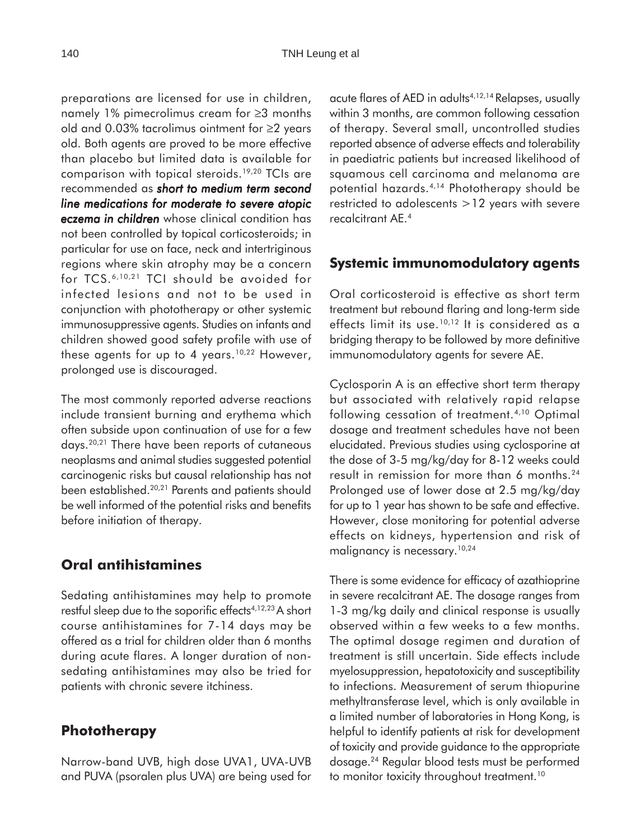preparations are licensed for use in children, namely 1% pimecrolimus cream for ≥3 months old and 0.03% tacrolimus ointment for ≥2 years old. Both agents are proved to be more effective than placebo but limited data is available for comparison with topical steroids.19,20 TCIs are recommended as *short to medium term second line medications for moderate to severe atopic eczema in children* whose clinical condition has not been controlled by topical corticosteroids; in particular for use on face, neck and intertriginous regions where skin atrophy may be a concern for TCS.6,10,21 TCI should be avoided for infected lesions and not to be used in conjunction with phototherapy or other systemic immunosuppressive agents. Studies on infants and children showed good safety profile with use of these agents for up to 4 years.<sup>10,22</sup> However, prolonged use is discouraged.

The most commonly reported adverse reactions include transient burning and erythema which often subside upon continuation of use for a few days.20,21 There have been reports of cutaneous neoplasms and animal studies suggested potential carcinogenic risks but causal relationship has not been established.20,21 Parents and patients should be well informed of the potential risks and benefits before initiation of therapy.

# **Oral antihistamines**

Sedating antihistamines may help to promote restful sleep due to the soporific effects<sup>4,12,23</sup> A short course antihistamines for 7-14 days may be offered as a trial for children older than 6 months during acute flares. A longer duration of nonsedating antihistamines may also be tried for patients with chronic severe itchiness.

# **Phototherapy**

Narrow-band UVB, high dose UVA1, UVA-UVB and PUVA (psoralen plus UVA) are being used for acute flares of AED in adults<sup>4,12,14</sup> Relapses, usually within 3 months, are common following cessation of therapy. Several small, uncontrolled studies reported absence of adverse effects and tolerability in paediatric patients but increased likelihood of squamous cell carcinoma and melanoma are potential hazards.4,14 Phototherapy should be restricted to adolescents >12 years with severe recalcitrant AE.4

### **Systemic immunomodulatory agents**

Oral corticosteroid is effective as short term treatment but rebound flaring and long-term side effects limit its use.<sup>10,12</sup> It is considered as a bridging therapy to be followed by more definitive immunomodulatory agents for severe AE.

Cyclosporin A is an effective short term therapy but associated with relatively rapid relapse following cessation of treatment.4,10 Optimal dosage and treatment schedules have not been elucidated. Previous studies using cyclosporine at the dose of 3-5 mg/kg/day for 8-12 weeks could result in remission for more than 6 months.24 Prolonged use of lower dose at 2.5 mg/kg/day for up to 1 year has shown to be safe and effective. However, close monitoring for potential adverse effects on kidneys, hypertension and risk of malignancy is necessary.<sup>10,24</sup>

There is some evidence for efficacy of azathioprine in severe recalcitrant AE. The dosage ranges from 1-3 mg/kg daily and clinical response is usually observed within a few weeks to a few months. The optimal dosage regimen and duration of treatment is still uncertain. Side effects include myelosuppression, hepatotoxicity and susceptibility to infections. Measurement of serum thiopurine methyltransferase level, which is only available in a limited number of laboratories in Hong Kong, is helpful to identify patients at risk for development of toxicity and provide guidance to the appropriate dosage.24 Regular blood tests must be performed to monitor toxicity throughout treatment.<sup>10</sup>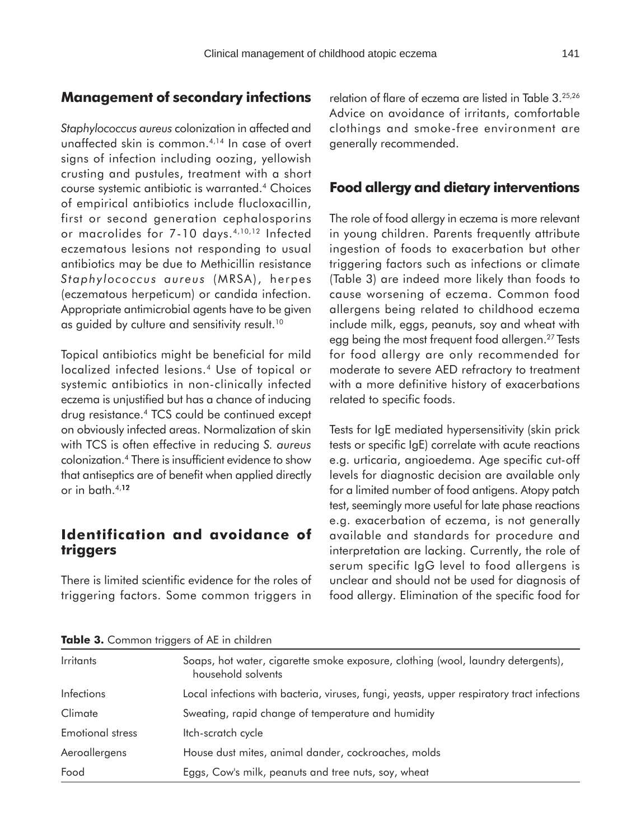### **Management of secondary infections**

*Staphylococcus aureus* colonization in affected and unaffected skin is common.4,14 In case of overt signs of infection including oozing, yellowish crusting and pustules, treatment with a short course systemic antibiotic is warranted.4 Choices of empirical antibiotics include flucloxacillin, first or second generation cephalosporins or macrolides for 7-10 days.<sup>4,10,12</sup> Infected eczematous lesions not responding to usual antibiotics may be due to Methicillin resistance *Staphylococcus aureus* (MRSA), herpes (eczematous herpeticum) or candida infection. Appropriate antimicrobial agents have to be given as guided by culture and sensitivity result.<sup>10</sup>

Topical antibiotics might be beneficial for mild localized infected lesions.4 Use of topical or systemic antibiotics in non-clinically infected eczema is unjustified but has a chance of inducing drug resistance.4 TCS could be continued except on obviously infected areas. Normalization of skin with TCS is often effective in reducing *S. aureus* colonization.4 There is insufficient evidence to show that antiseptics are of benefit when applied directly or in bath.4,12

### **Identification and avoidance of triggers**

There is limited scientific evidence for the roles of triggering factors. Some common triggers in

relation of flare of eczema are listed in Table 3.25,26 Advice on avoidance of irritants, comfortable clothings and smoke-free environment are generally recommended.

#### **Food allergy and dietary interventions**

The role of food allergy in eczema is more relevant in young children. Parents frequently attribute ingestion of foods to exacerbation but other triggering factors such as infections or climate (Table 3) are indeed more likely than foods to cause worsening of eczema. Common food allergens being related to childhood eczema include milk, eggs, peanuts, soy and wheat with egg being the most frequent food allergen.<sup>27</sup> Tests for food allergy are only recommended for moderate to severe AED refractory to treatment with a more definitive history of exacerbations related to specific foods.

Tests for IgE mediated hypersensitivity (skin prick tests or specific IgE) correlate with acute reactions e.g. urticaria, angioedema. Age specific cut-off levels for diagnostic decision are available only for a limited number of food antigens. Atopy patch test, seemingly more useful for late phase reactions e.g. exacerbation of eczema, is not generally available and standards for procedure and interpretation are lacking. Currently, the role of serum specific IgG level to food allergens is unclear and should not be used for diagnosis of food allergy. Elimination of the specific food for

|  |  | Table 3. Common triggers of AE in children |  |  |  |  |
|--|--|--------------------------------------------|--|--|--|--|
|--|--|--------------------------------------------|--|--|--|--|

| <i><u><b>Irritants</b></u></i> | Soaps, hot water, cigarette smoke exposure, clothing (wool, laundry detergents),<br>household solvents |
|--------------------------------|--------------------------------------------------------------------------------------------------------|
| Infections                     | Local infections with bacteria, viruses, fungi, yeasts, upper respiratory tract infections             |
| Climate                        | Sweating, rapid change of temperature and humidity                                                     |
| <b>Emotional stress</b>        | Itch-scratch cycle                                                                                     |
| Aeroallergens                  | House dust mites, animal dander, cockroaches, molds                                                    |
| Food                           | Eggs, Cow's milk, peanuts and tree nuts, soy, wheat                                                    |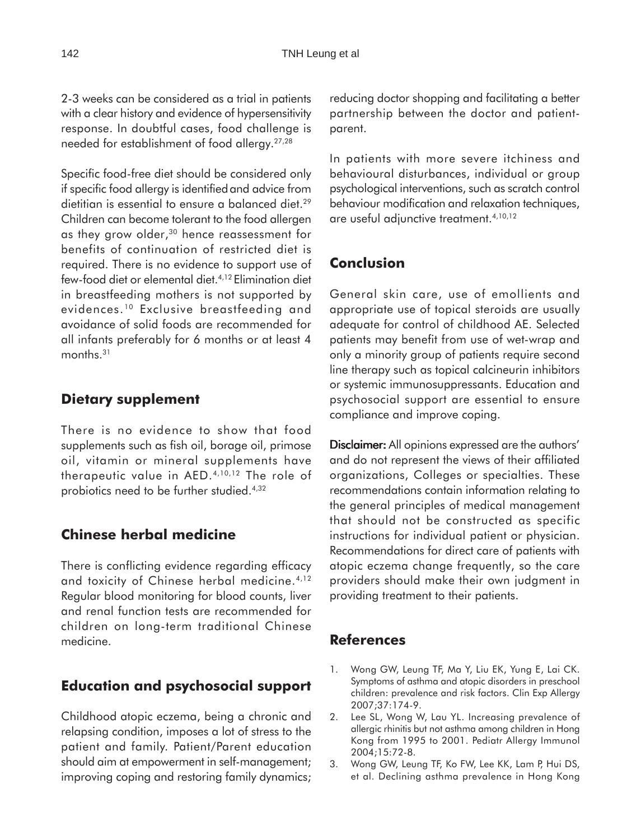2-3 weeks can be considered as a trial in patients with a clear history and evidence of hypersensitivity response. In doubtful cases, food challenge is needed for establishment of food allergy.27,28

Specific food-free diet should be considered only if specific food allergy is identifiedand advice from dietitian is essential to ensure a balanced diet.<sup>29</sup> Children can become tolerant to the food allergen as they grow older,<sup>30</sup> hence reassessment for benefits of continuation of restricted diet is required. There is no evidence to support use of few-food diet or elemental diet.4,12 Elimination diet in breastfeeding mothers is not supported by evidences.10 Exclusive breastfeeding and avoidance of solid foods are recommended for all infants preferably for 6 months or at least 4 months.31

### **Dietary supplement**

There is no evidence to show that food supplements such as fish oil, borage oil, primose oil, vitamin or mineral supplements have therapeutic value in AED.4,10,12 The role of probiotics need to be further studied.4,32

# **Chinese herbal medicine**

There is conflicting evidence regarding efficacy and toxicity of Chinese herbal medicine.4,12 Regular blood monitoring for blood counts, liver and renal function tests are recommended for children on long-term traditional Chinese medicine.

# **Education and psychosocial support**

Childhood atopic eczema, being a chronic and relapsing condition, imposes a lot of stress to the patient and family. Patient/Parent education should aim at empowerment in self-management; improving coping and restoring family dynamics;

reducing doctor shopping and facilitating a better partnership between the doctor and patientparent.

In patients with more severe itchiness and behavioural disturbances, individual or group psychological interventions, such as scratch control behaviour modification and relaxation techniques, are useful adjunctive treatment.4,10,12

# **Conclusion**

General skin care, use of emollients and appropriate use of topical steroids are usually adequate for control of childhood AE. Selected patients may benefit from use of wet-wrap and only a minority group of patients require second line therapy such as topical calcineurin inhibitors or systemic immunosuppressants. Education and psychosocial support are essential to ensure compliance and improve coping.

**Disclaimer:** All opinions expressed are the authors' and do not represent the views of their affiliated organizations, Colleges or specialties. These recommendations contain information relating to the general principles of medical management that should not be constructed as specific instructions for individual patient or physician. Recommendations for direct care of patients with atopic eczema change frequently, so the care providers should make their own judgment in providing treatment to their patients.

# **References**

- 1. Wong GW, Leung TF, Ma Y, Liu EK, Yung E, Lai CK. Symptoms of asthma and atopic disorders in preschool children: prevalence and risk factors. Clin Exp Allergy 2007;37:174-9.
- 2. Lee SL, Wong W, Lau YL. Increasing prevalence of allergic rhinitis but not asthma among children in Hong Kong from 1995 to 2001. Pediatr Allergy Immunol 2004;15:72-8.
- 3. Wong GW, Leung TF, Ko FW, Lee KK, Lam P, Hui DS, et al. Declining asthma prevalence in Hong Kong